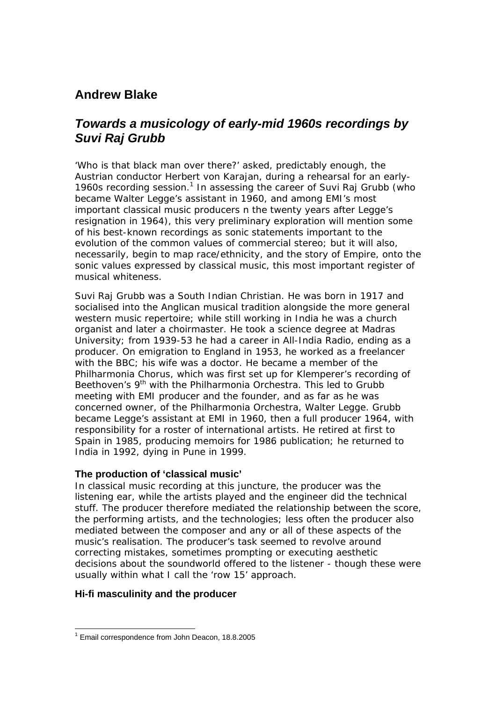# **Andrew Blake**

# *Towards a musicology of early-mid 1960s recordings by Suvi Raj Grubb*

'Who is that black man over there?' asked, predictably enough, the Austrian conductor Herbert von Karajan, during a rehearsal for an early-1960s recording session.<sup>1</sup> In assessing the career of Suvi Raj Grubb (who became Walter Legge's assistant in 1960, and among EMI's most important classical music producers n the twenty years after Legge's resignation in 1964), this very preliminary exploration will mention some of his best-known recordings as sonic statements important to the evolution of the common values of commercial stereo; but it will also, necessarily, begin to map race/ethnicity, and the story of Empire, onto the sonic values expressed by classical music, this most important register of musical whiteness.

Suvi Raj Grubb was a South Indian Christian. He was born in 1917 and socialised into the Anglican musical tradition alongside the more general western music repertoire; while still working in India he was a church organist and later a choirmaster. He took a science degree at Madras University; from 1939-53 he had a career in All-India Radio, ending as a producer. On emigration to England in 1953, he worked as a freelancer with the BBC; his wife was a doctor. He became a member of the Philharmonia Chorus, which was first set up for Klemperer's recording of Beethoven's 9<sup>th</sup> with the Philharmonia Orchestra. This led to Grubb meeting with EMI producer and the founder, and as far as he was concerned owner, of the Philharmonia Orchestra, Walter Legge. Grubb became Legge's assistant at EMI in 1960, then a full producer 1964, with responsibility for a roster of international artists. He retired at first to Spain in 1985, producing memoirs for 1986 publication; he returned to India in 1992, dying in Pune in 1999.

## **The production of 'classical music'**

In classical music recording at this juncture, the producer was the listening ear, while the artists played and the engineer did the technical stuff. The producer therefore mediated the relationship between the score, the performing artists, and the technologies; less often the producer also mediated between the composer and any or all of these aspects of the music's realisation. The producer's task seemed to revolve around correcting mistakes, sometimes prompting or executing aesthetic decisions about the soundworld offered to the listener - though these were usually within what I call the 'row 15' approach.

## **Hi-fi masculinity and the producer**

 $\overline{a}$ <sup>1</sup> Email correspondence from John Deacon, 18.8.2005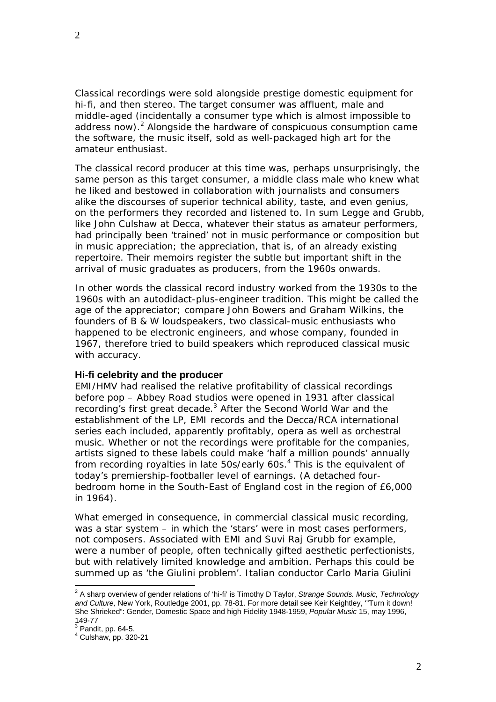Classical recordings were sold alongside prestige domestic equipment for hi-fi, and then stereo. The target consumer was affluent, male and middle-aged (incidentally a consumer type which is almost impossible to address now).<sup>2</sup> Alongside the hardware of conspicuous consumption came the software, the music itself, sold as well-packaged high art for the amateur enthusiast.

The classical record producer at this time was, perhaps unsurprisingly, the same person as this target consumer, a middle class male who knew what he liked and bestowed in collaboration with journalists and consumers alike the discourses of superior technical ability, taste, and even genius, on the performers they recorded and listened to. In sum Legge and Grubb, like John Culshaw at Decca, whatever their status as amateur performers, had principally been 'trained' not in music performance or composition but in music *appreciation*; the appreciation, that is, of an already existing repertoire. Their memoirs register the subtle but important shift in the arrival of music graduates as producers, from the 1960s onwards.

In other words the classical record industry worked from the 1930s to the 1960s with an autodidact-plus-engineer tradition. This might be called the age of the appreciator; compare John Bowers and Graham Wilkins, the founders of B & W loudspeakers, two classical-music enthusiasts who happened to be electronic engineers, and whose company, founded in 1967, therefore tried to build speakers which reproduced classical music with accuracy.

### **Hi-fi celebrity and the producer**

EMI/HMV had realised the relative profitability of classical recordings before pop – Abbey Road studios were opened in 1931 after classical recording's first great decade.<sup>3</sup> After the Second World War and the establishment of the LP, EMI records and the Decca/RCA international series each included, apparently profitably, opera as well as orchestral music. Whether or not the recordings were profitable for the companies, artists signed to these labels could make 'half a million pounds' annually from recording royalties in late 50s/early 60s.<sup>4</sup> This is the equivalent of today's premiership-footballer level of earnings. (A detached fourbedroom home in the South-East of England cost in the region of £6,000 in 1964).

What emerged in consequence, in commercial classical music recording, was a star system – in which the 'stars' were in most cases performers, not composers. Associated with EMI and Suvi Raj Grubb for example, were a number of people, often technically gifted aesthetic perfectionists, but with relatively limited knowledge and ambition. Perhaps this could be summed up as 'the Giulini problem'. Italian conductor Carlo Maria Giulini

 2 A sharp overview of gender relations of 'hi-fi' is Timothy D Taylor, *Strange Sounds. Music, Technology and Culture,* New York, Routledge 2001, pp. 78-81. For more detail see Keir Keightley, '"Turn it down! She Shrieked": Gender, Domestic Space and high Fidelity 1948-1959, *Popular Music* 15, may 1996, 149-77<br><sup>3</sup> Pandit, pp. 64-5.

<sup>4</sup> Culshaw, pp. 320-21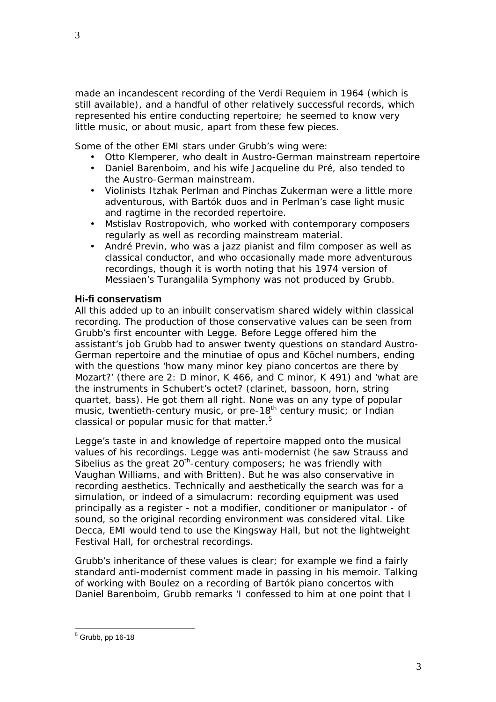made an incandescent recording of the Verdi Requiem in 1964 (which is still available), and a handful of other relatively successful records, which represented his entire conducting repertoire; he seemed to know very little music, or about music, apart from these few pieces.

Some of the other EMI stars under Grubb's wing were:

- Otto Klemperer, who dealt in Austro-German mainstream repertoire
- Daniel Barenboim, and his wife Jacqueline du Pré, also tended to the Austro-German mainstream.
- Violinists Itzhak Perlman and Pinchas Zukerman were a *little* more adventurous, with Bartók duos and in Perlman's case light music and ragtime in the recorded repertoire.
- Mstislav Rostropovich, who worked with contemporary composers regularly as well as recording mainstream material.
- André Previn, who was a jazz pianist and film composer as well as classical conductor, and who occasionally made more adventurous recordings, though it is worth noting that his 1974 version of Messiaen's *Turangalila Symphony* was not produced by Grubb.

## **Hi-fi conservatism**

All this added up to an inbuilt conservatism shared widely within classical recording. The production of those conservative values can be seen from Grubb's first encounter with Legge. Before Legge offered him the assistant's job Grubb had to answer twenty questions on standard Austro-German repertoire and the minutiae of opus and Köchel numbers, ending with the questions 'how many minor key piano concertos are there by Mozart?' (there are 2: D minor, K 466, and C minor, K 491) and 'what are the instruments in Schubert's octet? (clarinet, bassoon, horn, string quartet, bass). He got them all right. None was on any type of popular music, twentieth-century music, or pre-18<sup>th</sup> century music; or Indian classical or popular music for that matter.<sup>5</sup>

Legge's taste in and knowledge of repertoire mapped onto the musical values of his recordings. Legge was anti-modernist (he saw Strauss and Sibelius as the great  $20<sup>th</sup>$ -century composers; he was friendly with Vaughan Williams, and with Britten). But he was also conservative in recording aesthetics. Technically and aesthetically the search was for a simulation, or indeed of a simulacrum: recording equipment was used principally as a register - not a modifier, conditioner or manipulator - of sound, so the original recording environment was considered vital. Like Decca, EMI would tend to use the Kingsway Hall, but not the lightweight Festival Hall, for orchestral recordings.

Grubb's inheritance of these values is clear; for example we find a fairly standard anti-modernist comment made in passing in his memoir. Talking of working with Boulez on a recording of Bartók piano concertos with Daniel Barenboim, Grubb remarks 'I confessed to him at one point that I

 5 Grubb, pp 16-18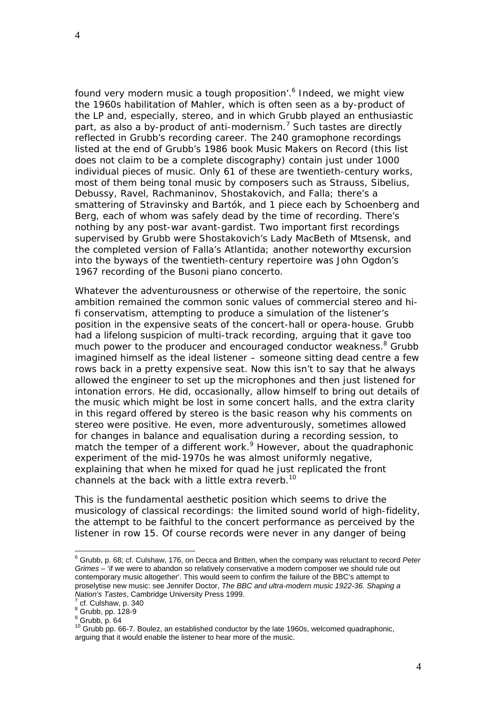found very modern music a tough proposition'.<sup>6</sup> Indeed, we might view the 1960s habilitation of Mahler, which is often seen as a by-product of the LP and, especially, stereo, and in which Grubb played an enthusiastic part, as also a by-product of anti-modernism.<sup>7</sup> Such tastes are directly reflected in Grubb's recording career. The 240 gramophone recordings listed at the end of Grubb's 1986 book *Music Makers on Record* (this list does not claim to be a complete discography) contain just under 1000 individual pieces of music. Only 61 of these are twentieth-century works, most of them being tonal music by composers such as Strauss, Sibelius, Debussy, Ravel, Rachmaninov, Shostakovich, and Falla; there's a smattering of Stravinsky and Bartók, and 1 piece each by Schoenberg and Berg, each of whom was safely dead by the time of recording. There's nothing by any post-war avant-gardist. Two important first recordings supervised by Grubb were Shostakovich's *Lady MacBeth of Mtsensk*, and the completed version of Falla's *Atlantida*; another noteworthy excursion into the byways of the twentieth-century repertoire was John Ogdon's 1967 recording of the Busoni piano concerto.

Whatever the adventurousness or otherwise of the repertoire, the sonic ambition remained the common sonic values of commercial stereo and hifi conservatism, attempting to produce a simulation of the listener's position in the expensive seats of the concert-hall or opera-house. Grubb had a lifelong suspicion of multi-track recording, arguing that it gave too much power to the producer and encouraged conductor weakness.<sup>8</sup> Grubb imagined himself as the ideal listener – someone sitting dead centre a few rows back in a pretty expensive seat. Now this isn't to say that he always allowed the engineer to set up the microphones and then just listened for intonation errors. He did, occasionally, allow himself to bring out details of the music which might be lost in some concert halls, and the extra clarity in this regard offered by stereo is the basic reason why his comments on stereo were positive. He even, more adventurously, sometimes allowed for changes in balance and equalisation during a recording session, to match the temper of a different work.<sup>9</sup> However, about the quadraphonic experiment of the mid-1970s he was almost uniformly negative, explaining that when he mixed for quad he just replicated the front channels at the back with a little extra reverb.<sup>10</sup>

This is the fundamental aesthetic position which seems to drive the musicology of classical recordings: the limited sound world of high-fidelity, the attempt to be faithful to the concert performance as perceived by the listener in row 15. Of course records were never in any danger of being

 $\overline{a}$ 

<sup>6</sup> Grubb, p. 68; cf. Culshaw, 176, on Decca and Britten, when the company was reluctant to record *Peter Grimes* – 'if we were to abandon so relatively conservative a modern composer we should rule out contemporary music altogether'. This would seem to confirm the failure of the BBC's attempt to proselytise new music: see Jennifer Doctor, *The BBC and ultra-modern music 1922-36. Shaping a Nation's Tastes, Cambridge University Press 1999.* 

cf. Culshaw, p. 340

 $8$  Grubb, pp. 128-9

 $<sup>9</sup>$  Grubb, p. 64</sup>

<sup>&</sup>lt;sup>10</sup> Grubb pp. 66-7. Boulez, an established conductor by the late 1960s, welcomed quadraphonic, arguing that it would enable the listener to hear more of the music.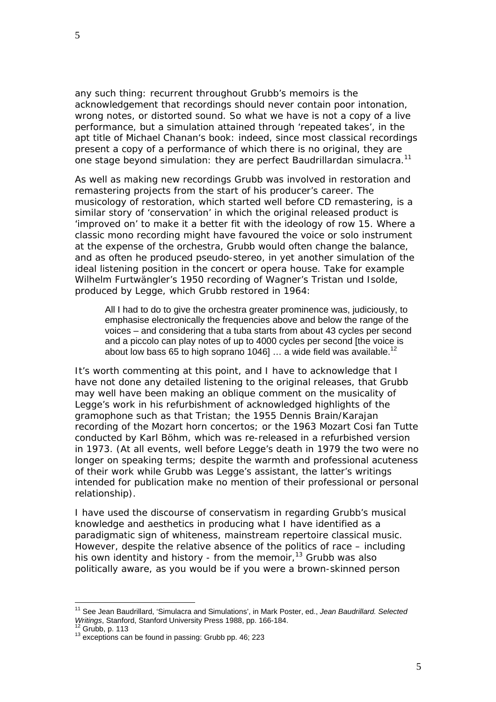any such thing: recurrent throughout Grubb's memoirs is the acknowledgement that recordings should never contain poor intonation, wrong notes, or distorted sound. So what we have is not a copy of a live performance, but a simulation attained through 'repeated takes', in the apt title of Michael Chanan's book: indeed, since most classical recordings present a copy of a performance of which there is no original, they are one stage beyond simulation: they are perfect Baudrillardan simulacra.<sup>11</sup>

As well as making new recordings Grubb was involved in restoration and remastering projects from the start of his producer's career. The musicology of restoration, which started well before CD remastering, is a similar story of 'conservation' in which the original released product is 'improved on' to make it a better fit with the ideology of row 15. Where a classic mono recording might have favoured the voice or solo instrument at the expense of the orchestra, Grubb would often change the balance, and as often he produced pseudo-stereo, in yet another simulation of the ideal listening position in the concert or opera house. Take for example Wilhelm Furtwängler's 1950 recording of Wagner's *Tristan und Isolde*, produced by Legge, which Grubb restored in 1964:

All I had to do to give the orchestra greater prominence was, judiciously, to emphasise electronically the frequencies above and below the range of the voices – and considering that a tuba starts from about 43 cycles per second and a piccolo can play notes of up to 4000 cycles per second [the voice is about low bass 65 to high soprano 1046]  $\dots$  a wide field was available.<sup>12</sup>

It's worth commenting at this point, and I have to acknowledge that I have not done any detailed listening to the original releases, that Grubb may well have been making an oblique comment on the musicality of Legge's work in his refurbishment of acknowledged highlights of the gramophone such as that *Tristan*; the 1955 Dennis Brain/Karajan recording of the Mozart horn concertos; or the 1963 Mozart *Cosi fan Tutte* conducted by Karl Böhm, which was re-released in a refurbished version in 1973. (At all events, well before Legge's death in 1979 the two were no longer on speaking terms; despite the warmth and professional acuteness of their work while Grubb was Legge's assistant, the latter's writings intended for publication make no mention of their professional or personal relationship).

I have used the discourse of conservatism in regarding Grubb's musical knowledge and aesthetics in producing what I have identified as a paradigmatic sign of whiteness, mainstream repertoire classical music. However, despite the relative absence of the politics of race – including his own identity and history - from the memoir,  $13$  Grubb was also politically aware, as you would be if you were a brown-skinned person

 $\overline{a}$ 

<sup>11</sup> See Jean Baudrillard, 'Simulacra and Simulations', in Mark Poster, ed., *Jean Baudrillard. Selected* 

<sup>&</sup>lt;sup>12</sup> Grubb, p. 113<br><sup>13</sup> exceptions can be found in passing: Grubb pp. 46; 223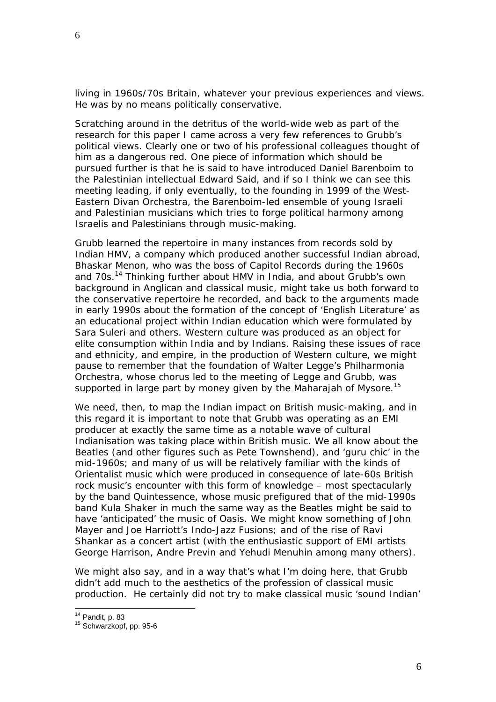living in 1960s/70s Britain, whatever your previous experiences and views. He was by no means politically conservative.

Scratching around in the detritus of the world-wide web as part of the research for this paper I came across a very few references to Grubb's political views. Clearly one or two of his professional colleagues thought of him as a dangerous red. One piece of information which should be pursued further is that he is said to have introduced Daniel Barenboim to the Palestinian intellectual Edward Said, and if so I think we can see this meeting leading, if only eventually, to the founding in 1999 of the West-Eastern Divan Orchestra, the Barenboim-led ensemble of young Israeli and Palestinian musicians which tries to forge political harmony among Israelis and Palestinians through music-making.

Grubb learned the repertoire in many instances from records sold by Indian HMV, a company which produced another successful Indian abroad, Bhaskar Menon, who was the boss of Capitol Records during the 1960s and 70s.14 Thinking further about HMV in India, and about Grubb's own background in Anglican and classical music, might take us both forward to the conservative repertoire he recorded, and back to the arguments made in early 1990s about the formation of the concept of 'English Literature' as an educational project *within Indian education* which were formulated by Sara Suleri and others. Western culture was produced as an object for elite consumption within India and by Indians. Raising these issues of race and ethnicity, and empire, in the production of Western culture, we might pause to remember that the foundation of Walter Legge's Philharmonia Orchestra, whose chorus led to the meeting of Legge and Grubb, was supported in large part by money given by the Maharajah of Mysore.<sup>15</sup>

We need, then, to map the Indian impact on British music-making, and in this regard it is important to note that Grubb was operating as an EMI producer at exactly the same time as a notable wave of cultural Indianisation was taking place within British music. We all know about the Beatles (and other figures such as Pete Townshend), and 'guru chic' in the mid-1960s; and many of us will be relatively familiar with the kinds of Orientalist music which were produced in consequence of late-60s British rock music's encounter with this form of knowledge – most spectacularly by the band Quintessence, whose music prefigured that of the mid-1990s band Kula Shaker in much the same way as the Beatles might be said to have 'anticipated' the music of Oasis. We might know something of John Mayer and Joe Harriott's Indo-Jazz Fusions; and of the rise of Ravi Shankar as a concert artist (with the enthusiastic support of EMI artists George Harrison, Andre Previn and Yehudi Menuhin among many others).

We might also say, and in a way that's what I'm doing here, that Grubb didn't add much to the aesthetics of the profession of classical music production. He certainly did not try to make classical music 'sound Indian'

 $14$  Pandit, p. 83

 $15$  Schwarzkopf, pp. 95-6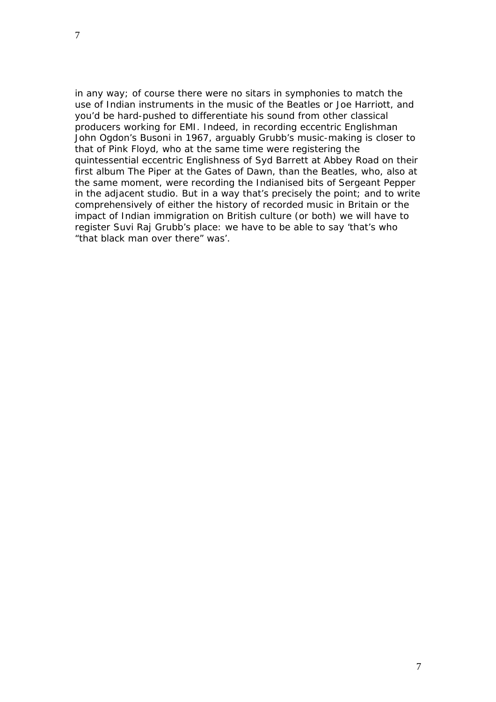in any way; of course there were no sitars in symphonies to match the use of Indian instruments in the music of the Beatles or Joe Harriott, and you'd be hard-pushed to differentiate his sound from other classical producers working for EMI. Indeed, in recording eccentric Englishman John Ogdon's Busoni in 1967, arguably Grubb's music-making is closer to that of Pink Floyd, who at the same time were registering the quintessential eccentric Englishness of Syd Barrett at Abbey Road on their first album *The Piper at the Gates of Dawn*, than the Beatles, who, also at the same moment, were recording the Indianised bits of *Sergeant Pepper* in the adjacent studio. But in a way that's precisely the point; and to write comprehensively of either the history of recorded music in Britain or the impact of Indian immigration on British culture (or both) we will have to register Suvi Raj Grubb's place: we have to be able to say '*that's* who "that black man over there" was'.